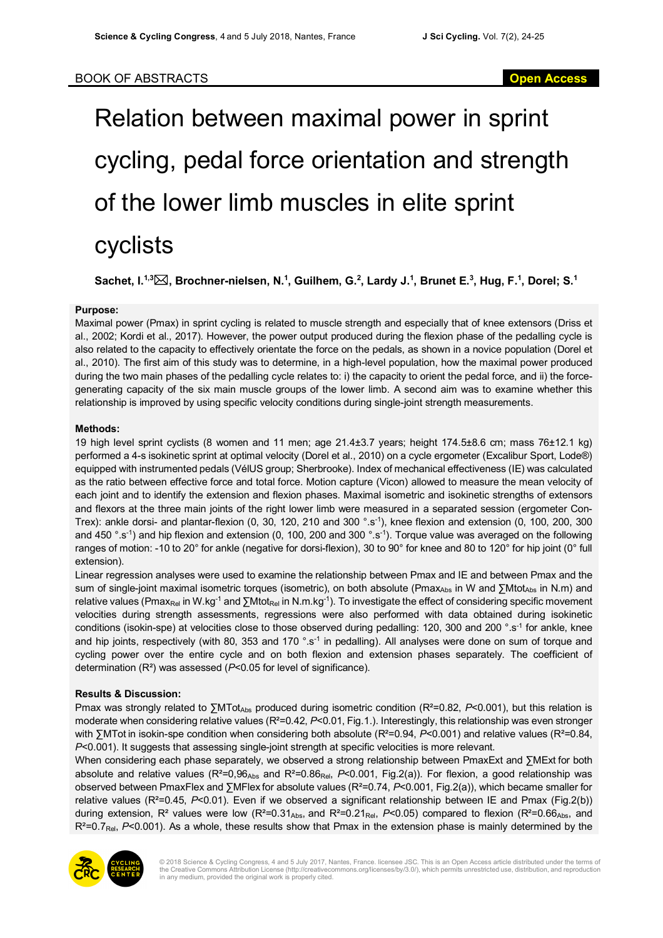# Relation between maximal power in sprint cycling, pedal force orientation and strength of the lower limb muscles in elite sprint cyclists

 $\blacksquare$  Sachet, I.<sup>1,3</sup> $\boxtimes$ , Brochner-nielsen, N.<sup>1</sup>, Guilhem, G.<sup>2</sup>, Lardy J.<sup>1</sup>, Brunet E.<sup>3</sup>, Hug, F.<sup>1</sup>, Dorel; S.<sup>1</sup>

### **Purpose:**

Maximal power (Pmax) in sprint cycling is related to muscle strength and especially that of knee extensors (Driss et al., 2002; Kordi et al., 2017). However, the power output produced during the flexion phase of the pedalling cycle is also related to the capacity to effectively orientate the force on the pedals, as shown in a novice population (Dorel et al., 2010). The first aim of this study was to determine, in a high-level population, how the maximal power produced during the two main phases of the pedalling cycle relates to: i) the capacity to orient the pedal force, and ii) the forcegenerating capacity of the six main muscle groups of the lower limb. A second aim was to examine whether this relationship is improved by using specific velocity conditions during single-joint strength measurements.

### **Methods:**

19 high level sprint cyclists (8 women and 11 men; age 21.4±3.7 years; height 174.5±8.6 cm; mass 76±12.1 kg) performed a 4-s isokinetic sprint at optimal velocity (Dorel et al., 2010) on a cycle ergometer (Excalibur Sport, Lode®) equipped with instrumented pedals (VélUS group; Sherbrooke). Index of mechanical effectiveness (IE) was calculated as the ratio between effective force and total force. Motion capture (Vicon) allowed to measure the mean velocity of each joint and to identify the extension and flexion phases. Maximal isometric and isokinetic strengths of extensors and flexors at the three main joints of the right lower limb were measured in a separated session (ergometer Con-Trex): ankle dorsi- and plantar-flexion (0, 30, 120, 210 and 300 °.s-1), knee flexion and extension (0, 100, 200, 300 and 450 °.s<sup>-1</sup>) and hip flexion and extension (0, 100, 200 and 300 °.s<sup>-1</sup>). Torque value was averaged on the following ranges of motion: -10 to 20° for ankle (negative for dorsi-flexion), 30 to 90° for knee and 80 to 120° for hip joint (0° full extension).

Linear regression analyses were used to examine the relationship between Pmax and IE and between Pmax and the sum of single-joint maximal isometric torques (isometric), on both absolute (Pmax<sub>Abs</sub> in W and ∑Mtot<sub>Abs</sub> in N.m) and relative values (Pmax<sub>Rel</sub> in W.kg<sup>-1</sup> and ∑Mtot<sub>Rel</sub> in N.m.kg<sup>-1</sup>). To investigate the effect of considering specific movement velocities during strength assessments, regressions were also performed with data obtained during isokinetic conditions (isokin-spe) at velocities close to those observed during pedalling: 120, 300 and 200 °.s<sup>-1</sup> for ankle, knee and hip joints, respectively (with 80, 353 and 170 °.s<sup>-1</sup> in pedalling). All analyses were done on sum of torque and cycling power over the entire cycle and on both flexion and extension phases separately. The coefficient of determination (R²) was assessed (*P*<0.05 for level of significance).

## **Results & Discussion:**

Pmax was strongly related to ∑MTot<sub>Abs</sub> produced during isometric condition (R<sup>2</sup>=0.82, P<0.001), but this relation is moderate when considering relative values (R<sup>2</sup>=0.42, P<0.01, Fig.1.). Interestingly, this relationship was even stronger with ∑MTot in isokin-spe condition when considering both absolute (R²=0.94, *P*<0.001) and relative values (R²=0.84, *P*<0.001). It suggests that assessing single-joint strength at specific velocities is more relevant.

When considering each phase separately, we observed a strong relationship between PmaxExt and ∑MExt for both absolute and relative values (R²=0,96Abs and R²=0.86Rel, *P*<0.001, Fig.2(a)). For flexion, a good relationship was observed between PmaxFlex and ∑MFlex for absolute values (R²=0.74, *P*<0.001, Fig.2(a)), which became smaller for relative values (R²=0.45, *P*<0.01). Even if we observed a significant relationship between IE and Pmax (Fig.2(b)) during extension, R<sup>2</sup> values were low (R<sup>2</sup>=0.31<sub>Abs</sub>, and R<sup>2</sup>=0.21<sub>Rel</sub>, P<0.05) compared to flexion (R<sup>2</sup>=0.66<sub>Abs</sub>, and  $R^2 = 0.7$ <sub>Rel</sub>,  $P < 0.001$ ). As a whole, these results show that Pmax in the extension phase is mainly determined by the